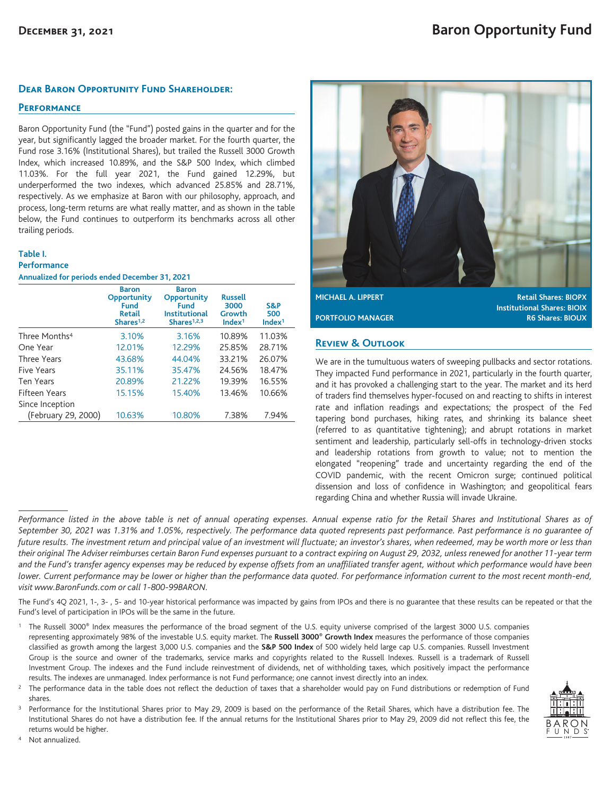## **Dear Baron Opportunity Fund Shareholder:**

# **Performance**

Baron Opportunity Fund (the "Fund") posted gains in the quarter and for the year, but significantly lagged the broader market. For the fourth quarter, the Fund rose 3.16% (Institutional Shares), but trailed the Russell 3000 Growth Index, which increased 10.89%, and the S&P 500 Index, which climbed 11.03%. For the full year 2021, the Fund gained 12.29%, but underperformed the two indexes, which advanced 25.85% and 28.71%, respectively. As we emphasize at Baron with our philosophy, approach, and process, long-term returns are what really matter, and as shown in the table below, the Fund continues to outperform its benchmarks across all other trailing periods.

### **Table I.**

#### **Performance**

| Annualized for periods ended December 31, 2021 |  |  |  |  |  |
|------------------------------------------------|--|--|--|--|--|
|------------------------------------------------|--|--|--|--|--|

|                           | <b>Baron</b><br>Opportunity<br>Fund<br><b>Retail</b><br>Shares $1,2$ | <b>Baron</b><br>Opportunity<br>Fund<br><b>Institutional</b><br>Shares $1,2,3$ | <b>Russell</b><br>3000<br>Growth<br>Index <sup>1</sup> | S&P<br>500<br>Index <sup>1</sup> |
|---------------------------|----------------------------------------------------------------------|-------------------------------------------------------------------------------|--------------------------------------------------------|----------------------------------|
| Three Months <sup>4</sup> | 3.10%                                                                | 3.16%                                                                         | 10.89%                                                 | 11.03%                           |
| One Year                  | 12.01%                                                               | 12.29%                                                                        | 25.85%                                                 | 28.71%                           |
| <b>Three Years</b>        | 43.68%                                                               | 44.04%                                                                        | 33.21%                                                 | 26.07%                           |
| Five Years                | 35.11%                                                               | 35.47%                                                                        | 24.56%                                                 | 18.47%                           |
| <b>Ten Years</b>          | 20.89%                                                               | 21.22%                                                                        | 19.39%                                                 | 16.55%                           |
| Fifteen Years             | 15.15%                                                               | 15.40%                                                                        | 13.46%                                                 | 10.66%                           |
| Since Inception           |                                                                      |                                                                               |                                                        |                                  |
| (February 29, 2000)       | 10.63%                                                               | 10.80%                                                                        | 7.38%                                                  | 7.94%                            |



**MICHAEL A. LIPPERT Retail Shares: BIOPX Institutional Shares: BIOIX PORTFOLIO MANAGER R6 Shares: BIOUX** 

## **Review & Outlook**

We are in the tumultuous waters of sweeping pullbacks and sector rotations. They impacted Fund performance in 2021, particularly in the fourth quarter, and it has provoked a challenging start to the year. The market and its herd of traders find themselves hyper-focused on and reacting to shifts in interest rate and inflation readings and expectations; the prospect of the Fed tapering bond purchases, hiking rates, and shrinking its balance sheet (referred to as quantitative tightening); and abrupt rotations in market sentiment and leadership, particularly sell-offs in technology-driven stocks and leadership rotations from growth to value; not to mention the elongated "reopening" trade and uncertainty regarding the end of the COVID pandemic, with the recent Omicron surge; continued political dissension and loss of confidence in Washington; and geopolitical fears regarding China and whether Russia will invade Ukraine.

The Fund's 4Q 2021, 1-, 3-, 5- and 10-year historical performance was impacted by gains from IPOs and there is no guarantee that these results can be repeated or that the Fund's level of participation in IPOs will be the same in the future.

- <sup>1</sup> The Russell 3000® Index measures the performance of the broad segment of the U.S. equity universe comprised of the largest 3000 U.S. companies representing approximately 98% of the investable U.S. equity market. The **Russell 3000® Growth Index** measures the performance of those companies classified as growth among the largest 3,000 U.S. companies and the **S&P 500 Index** of 500 widely held large cap U.S. companies. Russell Investment Group is the source and owner of the trademarks, service marks and copyrights related to the Russell Indexes. Russell is a trademark of Russell Investment Group. The indexes and the Fund include reinvestment of dividends, net of withholding taxes, which positively impact the performance results. The indexes are unmanaged. Index performance is not Fund performance; one cannot invest directly into an index.
- <sup>2</sup> The performance data in the table does not reflect the deduction of taxes that a shareholder would pay on Fund distributions or redemption of Fund shares.

Performance for the Institutional Shares prior to May 29, 2009 is based on the performance of the Retail Shares, which have a distribution fee. The Institutional Shares do not have a distribution fee. If the annual returns for the Institutional Shares prior to May 29, 2009 did not reflect this fee, the returns would be higher.



<sup>4</sup> Not annualized.

Performance listed in the above table is net of annual operating expenses. Annual expense ratio for the Retail Shares and Institutional Shares as of *September 30, 2021 was 1.31% and 1.05%, respectively. The performance data quoted represents past performance. Past performance is no guarantee of future results. The investment return and principal value of an investment will fluctuate; an investor's shares, when redeemed, may be worth more or less than their original The Adviser reimburses certain Baron Fund expenses pursuant to a contract expiring on August 29, 2032, unless renewed for another 11-year term and the Fund's transfer agency expenses may be reduced by expense offsets from an unaffiliated transfer agent, without which performance would have been lower. Current performance may be lower or higher than the performance data quoted. For performance information current to the most recent month-end, visit www.BaronFunds.com or call 1-800-99BARON.*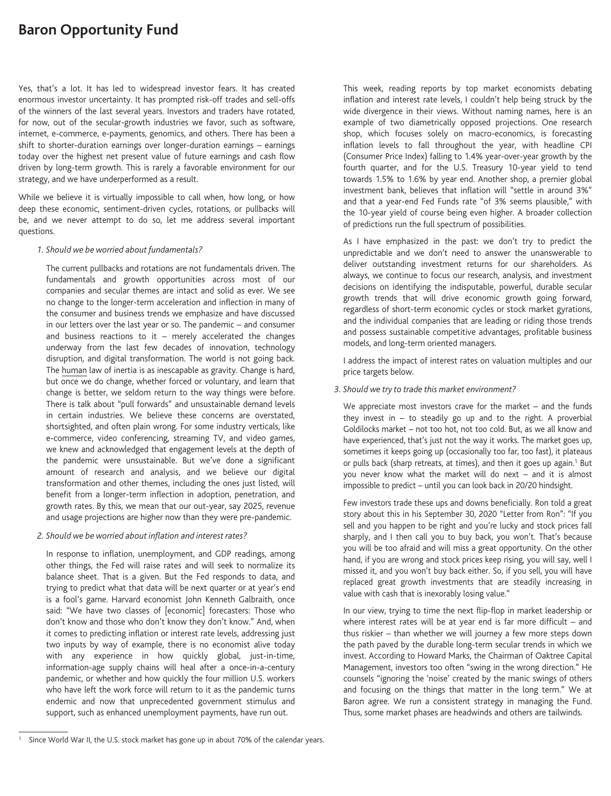# **Baron Opportunity Fund**

Yes, that's a lot. It has led to widespread investor fears. It has created enormous investor uncertainty. It has prompted risk-off trades and sell-offs of the winners of the last several years. Investors and traders have rotated, for now, out of the secular-growth industries we favor, such as software, internet, e-commerce, e-payments, genomics, and others. There has been a shift to shorter-duration earnings over longer-duration earnings – earnings today over the highest net present value of future earnings and cash flow driven by long-term growth. This is rarely a favorable environment for our strategy, and we have underperformed as a result.

While we believe it is virtually impossible to call when, how long, or how deep these economic, sentiment-driven cycles, rotations, or pullbacks will be, and we never attempt to do so, let me address several important questions.

### *1. Should we be worried about fundamentals?*

The current pullbacks and rotations are not fundamentals driven. The fundamentals and growth opportunities across most of our companies and secular themes are intact and solid as ever. We see no change to the longer-term acceleration and inflection in many of the consumer and business trends we emphasize and have discussed in our letters over the last year or so. The pandemic – and consumer and business reactions to it  $-$  merely accelerated the changes underway from the last few decades of innovation, technology disruption, and digital transformation. The world is not going back. The human law of inertia is as inescapable as gravity. Change is hard, but once we do change, whether forced or voluntary, and learn that change is better, we seldom return to the way things were before. There is talk about "pull forwards" and unsustainable demand levels in certain industries. We believe these concerns are overstated, shortsighted, and often plain wrong. For some industry verticals, like e-commerce, video conferencing, streaming TV, and video games, we knew and acknowledged that engagement levels at the depth of the pandemic were unsustainable. But we've done a significant amount of research and analysis, and we believe our digital transformation and other themes, including the ones just listed, will benefit from a longer-term inflection in adoption, penetration, and growth rates. By this, we mean that our out-year, say 2025, revenue and usage projections are higher now than they were pre-pandemic.

### *2. Should we be worried about inflation and interest rates?*

In response to inflation, unemployment, and GDP readings, among other things, the Fed will raise rates and will seek to normalize its balance sheet. That is a given. But the Fed responds to data, and trying to predict what that data will be next quarter or at year's end is a fool's game. Harvard economist John Kenneth Galbraith, once said: "We have two classes of [economic] forecasters: Those who don't know and those who don't know they don't know." And, when it comes to predicting inflation or interest rate levels, addressing just two inputs by way of example, there is no economist alive today with any experience in how quickly global, just-in-time, information-age supply chains will heal after a once-in-a-century pandemic, or whether and how quickly the four million U.S. workers who have left the work force will return to it as the pandemic turns endemic and now that unprecedented government stimulus and support, such as enhanced unemployment payments, have run out.

This week, reading reports by top market economists debating inflation and interest rate levels, I couldn't help being struck by the wide divergence in their views. Without naming names, here is an example of two diametrically opposed projections. One research shop, which focuses solely on macro-economics, is forecasting inflation levels to fall throughout the year, with headline CPI (Consumer Price Index) falling to 1.4% year-over-year growth by the fourth quarter, and for the U.S. Treasury 10-year yield to tend towards 1.5% to 1.6% by year end. Another shop, a premier global investment bank, believes that inflation will "settle in around 3%" and that a year-end Fed Funds rate "of 3% seems plausible," with the 10-year yield of course being even higher. A broader collection of predictions run the full spectrum of possibilities.

As I have emphasized in the past: we don't try to predict the unpredictable and we don't need to answer the unanswerable to deliver outstanding investment returns for our shareholders. As always, we continue to focus our research, analysis, and investment decisions on identifying the indisputable, powerful, durable secular growth trends that will drive economic growth going forward, regardless of short-term economic cycles or stock market gyrations, and the individual companies that are leading or riding those trends and possess sustainable competitive advantages, profitable business models, and long-term oriented managers.

I address the impact of interest rates on valuation multiples and our price targets below.

### *3. Should we try to trade this market environment?*

We appreciate most investors crave for the market – and the funds they invest in  $-$  to steadily go up and to the right. A proverbial Goldilocks market – not too hot, not too cold. But, as we all know and have experienced, that's just not the way it works. The market goes up, sometimes it keeps going up (occasionally too far, too fast), it plateaus or pulls back (sharp retreats, at times), and then it goes up again.<sup>1</sup> But you never know what the market will do next – and it is almost impossible to predict – until you can look back in 20/20 hindsight.

Few investors trade these ups and downs beneficially. Ron told a great story about this in his September 30, 2020 "Letter from Ron": "If you sell and you happen to be right and you're lucky and stock prices fall sharply, and I then call you to buy back, you won't. That's because you will be too afraid and will miss a great opportunity. On the other hand, if you are wrong and stock prices keep rising, you will say, well I missed it, and you won't buy back either. So, if you sell, you will have replaced great growth investments that are steadily increasing in value with cash that is inexorably losing value."

In our view, trying to time the next flip-flop in market leadership or where interest rates will be at year end is far more difficult  $-$  and thus riskier – than whether we will journey a few more steps down the path paved by the durable long-term secular trends in which we invest. According to Howard Marks, the Chairman of Oaktree Capital Management, investors too often "swing in the wrong direction." He counsels "ignoring the 'noise' created by the manic swings of others and focusing on the things that matter in the long term." We at Baron agree. We run a consistent strategy in managing the Fund. Thus, some market phases are headwinds and others are tailwinds.

Since World War II, the U.S. stock market has gone up in about 70% of the calendar years.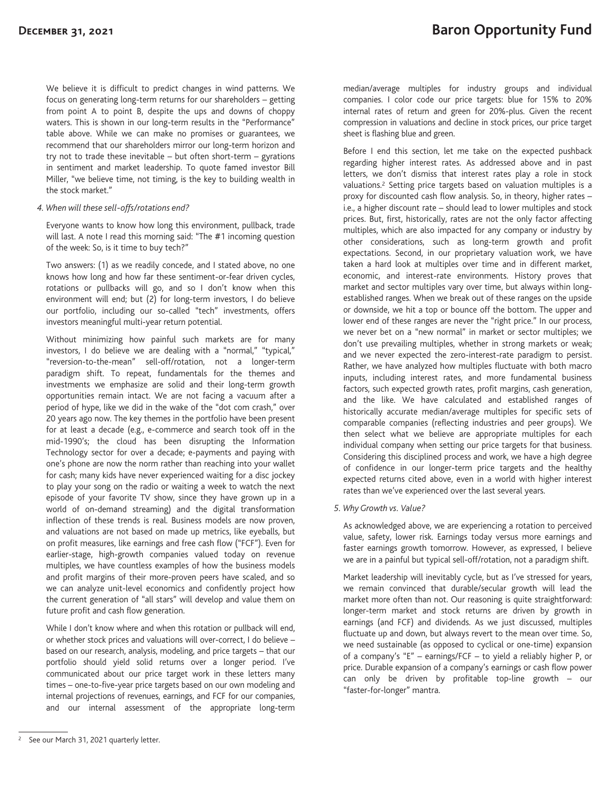We believe it is difficult to predict changes in wind patterns. We focus on generating long-term returns for our shareholders – getting from point A to point B, despite the ups and downs of choppy waters. This is shown in our long-term results in the "Performance" table above. While we can make no promises or guarantees, we recommend that our shareholders mirror our long-term horizon and try not to trade these inevitable – but often short-term – gyrations in sentiment and market leadership. To quote famed investor Bill Miller, "we believe time, not timing, is the key to building wealth in the stock market."

#### *4. When will these sell-offs/rotations end?*

Everyone wants to know how long this environment, pullback, trade will last. A note I read this morning said: "The #1 incoming question of the week: So, is it time to buy tech?"

Two answers: (1) as we readily concede, and I stated above, no one knows how long and how far these sentiment-or-fear driven cycles, rotations or pullbacks will go, and so I don't know when this environment will end; but (2) for long-term investors, I do believe our portfolio, including our so-called "tech" investments, offers investors meaningful multi-year return potential.

Without minimizing how painful such markets are for many investors, I do believe we are dealing with a "normal," "typical," "reversion-to-the-mean" sell-off/rotation, not a longer-term paradigm shift. To repeat, fundamentals for the themes and investments we emphasize are solid and their long-term growth opportunities remain intact. We are not facing a vacuum after a period of hype, like we did in the wake of the "dot com crash," over 20 years ago now. The key themes in the portfolio have been present for at least a decade (e.g., e-commerce and search took off in the mid-1990's; the cloud has been disrupting the Information Technology sector for over a decade; e-payments and paying with one's phone are now the norm rather than reaching into your wallet for cash; many kids have never experienced waiting for a disc jockey to play your song on the radio or waiting a week to watch the next episode of your favorite TV show, since they have grown up in a world of on-demand streaming) and the digital transformation inflection of these trends is real. Business models are now proven, and valuations are not based on made up metrics, like eyeballs, but on profit measures, like earnings and free cash flow ("FCF"). Even for earlier-stage, high-growth companies valued today on revenue multiples, we have countless examples of how the business models and profit margins of their more-proven peers have scaled, and so we can analyze unit-level economics and confidently project how the current generation of "all stars" will develop and value them on future profit and cash flow generation.

While I don't know where and when this rotation or pullback will end, or whether stock prices and valuations will over-correct, I do believe – based on our research, analysis, modeling, and price targets – that our portfolio should yield solid returns over a longer period. I've communicated about our price target work in these letters many times – one-to-five-year price targets based on our own modeling and internal projections of revenues, earnings, and FCF for our companies, and our internal assessment of the appropriate long-term median/average multiples for industry groups and individual companies. I color code our price targets: blue for 15% to 20% internal rates of return and green for 20%-plus. Given the recent compression in valuations and decline in stock prices, our price target sheet is flashing blue and green.

Before I end this section, let me take on the expected pushback regarding higher interest rates. As addressed above and in past letters, we don't dismiss that interest rates play a role in stock valuations.2 Setting price targets based on valuation multiples is a proxy for discounted cash flow analysis. So, in theory, higher rates – i.e., a higher discount rate – should lead to lower multiples and stock prices. But, first, historically, rates are not the only factor affecting multiples, which are also impacted for any company or industry by other considerations, such as long-term growth and profit expectations. Second, in our proprietary valuation work, we have taken a hard look at multiples over time and in different market, economic, and interest-rate environments. History proves that market and sector multiples vary over time, but always within longestablished ranges. When we break out of these ranges on the upside or downside, we hit a top or bounce off the bottom. The upper and lower end of these ranges are never the "right price." In our process, we never bet on a "new normal" in market or sector multiples; we don't use prevailing multiples, whether in strong markets or weak; and we never expected the zero-interest-rate paradigm to persist. Rather, we have analyzed how multiples fluctuate with both macro inputs, including interest rates, and more fundamental business factors, such expected growth rates, profit margins, cash generation, and the like. We have calculated and established ranges of historically accurate median/average multiples for specific sets of comparable companies (reflecting industries and peer groups). We then select what we believe are appropriate multiples for each individual company when setting our price targets for that business. Considering this disciplined process and work, we have a high degree of confidence in our longer-term price targets and the healthy expected returns cited above, even in a world with higher interest rates than we've experienced over the last several years.

#### *5. Why Growth vs. Value?*

As acknowledged above, we are experiencing a rotation to perceived value, safety, lower risk. Earnings today versus more earnings and faster earnings growth tomorrow. However, as expressed, I believe we are in a painful but typical sell-off/rotation, not a paradigm shift.

Market leadership will inevitably cycle, but as I've stressed for years, we remain convinced that durable/secular growth will lead the market more often than not. Our reasoning is quite straightforward: longer-term market and stock returns are driven by growth in earnings (and FCF) and dividends. As we just discussed, multiples fluctuate up and down, but always revert to the mean over time. So, we need sustainable (as opposed to cyclical or one-time) expansion of a company's "E" – earnings/FCF – to yield a reliably higher P, or price. Durable expansion of a company's earnings or cash flow power can only be driven by profitable top-line growth – our "faster-for-longer" mantra.

See our March 31, 2021 quarterly letter.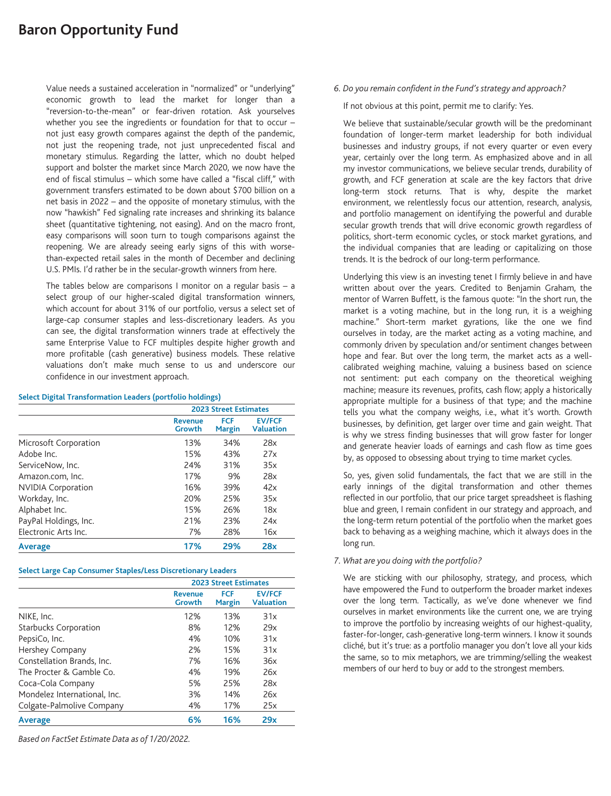# **Baron Opportunity Fund**

Value needs a sustained acceleration in "normalized" or "underlying" economic growth to lead the market for longer than a "reversion-to-the-mean" or fear-driven rotation. Ask yourselves whether you see the ingredients or foundation for that to occur – not just easy growth compares against the depth of the pandemic, not just the reopening trade, not just unprecedented fiscal and monetary stimulus. Regarding the latter, which no doubt helped support and bolster the market since March 2020, we now have the end of fiscal stimulus – which some have called a "fiscal cliff," with government transfers estimated to be down about \$700 billion on a net basis in 2022 – and the opposite of monetary stimulus, with the now "hawkish" Fed signaling rate increases and shrinking its balance sheet (quantitative tightening, not easing). And on the macro front, easy comparisons will soon turn to tough comparisons against the reopening. We are already seeing early signs of this with worsethan-expected retail sales in the month of December and declining U.S. PMIs. I'd rather be in the secular-growth winners from here.

The tables below are comparisons I monitor on a regular basis  $-$  a select group of our higher-scaled digital transformation winners, which account for about 31% of our portfolio, versus a select set of large-cap consumer staples and less-discretionary leaders. As you can see, the digital transformation winners trade at effectively the same Enterprise Value to FCF multiples despite higher growth and more profitable (cash generative) business models. These relative valuations don't make much sense to us and underscore our confidence in our investment approach.

### **Select Digital Transformation Leaders (portfolio holdings)**

|                           | <b>2023 Street Estimates</b> |                             |                                   |  |
|---------------------------|------------------------------|-----------------------------|-----------------------------------|--|
|                           | <b>Revenue</b><br>Growth     | <b>FCF</b><br><b>Margin</b> | <b>EV/FCF</b><br><b>Valuation</b> |  |
| Microsoft Corporation     | 13%                          | 34%                         | 28x                               |  |
| Adobe Inc.                | 15%                          | 43%                         | 27x                               |  |
| ServiceNow, Inc.          | 24%                          | 31%                         | 35x                               |  |
| Amazon.com, Inc.          | 17%                          | 9%                          | 28x                               |  |
| <b>NVIDIA Corporation</b> | 16%                          | 39%                         | 42x                               |  |
| Workday, Inc.             | 20%                          | 25%                         | 35x                               |  |
| Alphabet Inc.             | 15%                          | 26%                         | 18x                               |  |
| PayPal Holdings, Inc.     | 21%                          | 23%                         | 24x                               |  |
| Electronic Arts Inc.      | 7%                           | 28%                         | 16x                               |  |
| Average                   | 17%                          | 29%                         | 28x                               |  |

# **Select Large Cap Consumer Staples/Less Discretionary Leaders**

|                              | <b>2023 Street Estimates</b> |                             |                                   |  |
|------------------------------|------------------------------|-----------------------------|-----------------------------------|--|
|                              | <b>Revenue</b><br>Growth     | <b>FCF</b><br><b>Margin</b> | <b>EV/FCF</b><br><b>Valuation</b> |  |
| NIKE, Inc.                   | 12%                          | 13%                         | 31x                               |  |
| <b>Starbucks Corporation</b> | 8%                           | 12%                         | 29x                               |  |
| PepsiCo, Inc.                | 4%                           | 10%                         | 31x                               |  |
| Hershey Company              | 2%                           | 15%                         | 31x                               |  |
| Constellation Brands, Inc.   | 7%                           | 16%                         | 36x                               |  |
| The Procter & Gamble Co.     | 4%                           | 19%                         | 26x                               |  |
| Coca-Cola Company            | 5%                           | 25%                         | 28x                               |  |
| Mondelez International, Inc. | 3%                           | 14%                         | 26x                               |  |
| Colgate-Palmolive Company    | 4%                           | 17%                         | 25x                               |  |
| Average                      | 6%                           | 16%                         | 29x                               |  |

*Based on FactSet Estimate Data as of 1/20/2022.*

# *6. Do you remain confident in the Fund's strategy and approach?*

If not obvious at this point, permit me to clarify: Yes.

We believe that sustainable/secular growth will be the predominant foundation of longer-term market leadership for both individual businesses and industry groups, if not every quarter or even every year, certainly over the long term. As emphasized above and in all my investor communications, we believe secular trends, durability of growth, and FCF generation at scale are the key factors that drive long-term stock returns. That is why, despite the market environment, we relentlessly focus our attention, research, analysis, and portfolio management on identifying the powerful and durable secular growth trends that will drive economic growth regardless of politics, short-term economic cycles, or stock market gyrations, and the individual companies that are leading or capitalizing on those trends. It is the bedrock of our long-term performance.

Underlying this view is an investing tenet I firmly believe in and have written about over the years. Credited to Benjamin Graham, the mentor of Warren Buffett, is the famous quote: "In the short run, the market is a voting machine, but in the long run, it is a weighing machine." Short-term market gyrations, like the one we find ourselves in today, are the market acting as a voting machine, and commonly driven by speculation and/or sentiment changes between hope and fear. But over the long term, the market acts as a wellcalibrated weighing machine, valuing a business based on science not sentiment: put each company on the theoretical weighing machine; measure its revenues, profits, cash flow; apply a historically appropriate multiple for a business of that type; and the machine tells you what the company weighs, i.e., what it's worth. Growth businesses, by definition, get larger over time and gain weight. That is why we stress finding businesses that will grow faster for longer and generate heavier loads of earnings and cash flow as time goes by, as opposed to obsessing about trying to time market cycles.

So, yes, given solid fundamentals, the fact that we are still in the early innings of the digital transformation and other themes reflected in our portfolio, that our price target spreadsheet is flashing blue and green, I remain confident in our strategy and approach, and the long-term return potential of the portfolio when the market goes back to behaving as a weighing machine, which it always does in the long run.

# *7. What are you doing with the portfolio?*

We are sticking with our philosophy, strategy, and process, which have empowered the Fund to outperform the broader market indexes over the long term. Tactically, as we've done whenever we find ourselves in market environments like the current one, we are trying to improve the portfolio by increasing weights of our highest-quality, faster-for-longer, cash-generative long-term winners. I know it sounds cliché, but it's true: as a portfolio manager you don't love all your kids the same, so to mix metaphors, we are trimming/selling the weakest members of our herd to buy or add to the strongest members.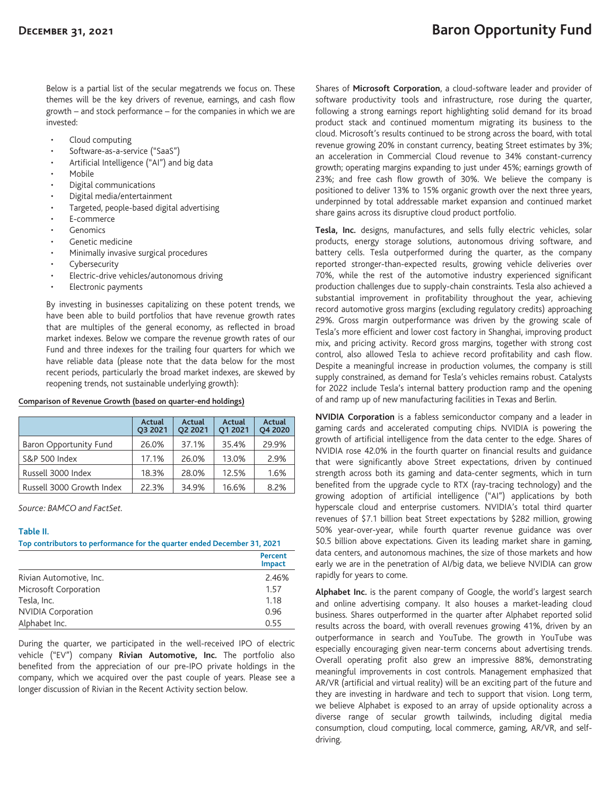Below is a partial list of the secular megatrends we focus on. These themes will be the key drivers of revenue, earnings, and cash flow growth – and stock performance – for the companies in which we are invested:

- Cloud computing
- Software-as-a-service ("SaaS")
- Artificial Intelligence ("AI") and big data
- Mobile
- Digital communications
- Digital media/entertainment
- Targeted, people-based digital advertising
- E-commerce
- **Genomics**
- Genetic medicine
- Minimally invasive surgical procedures
- **Cybersecurity**
- Electric-drive vehicles/autonomous driving
- Electronic payments

By investing in businesses capitalizing on these potent trends, we have been able to build portfolios that have revenue growth rates that are multiples of the general economy, as reflected in broad market indexes. Below we compare the revenue growth rates of our Fund and three indexes for the trailing four quarters for which we have reliable data (please note that the data below for the most recent periods, particularly the broad market indexes, are skewed by reopening trends, not sustainable underlying growth):

#### **Comparison of Revenue Growth (based on quarter-end holdings)**

|                           | Actual<br>O3 2021 | <b>Actual</b><br><b>O2 2021</b> | Actual<br>O1 2021 | Actual<br>O4 2020 |
|---------------------------|-------------------|---------------------------------|-------------------|-------------------|
| Baron Opportunity Fund    | 26.0%             | 37.1%                           | 35.4%             | 29.9%             |
| S&P 500 Index             | 17.1%             | 26.0%                           | 13.0%             | 2.9%              |
| Russell 3000 Index        | 18.3%             | 28.0%                           | 12.5%             | 1.6%              |
| Russell 3000 Growth Index | 22.3%             | 34.9%                           | 16.6%             | 8.2%              |

*Source: BAMCO and FactSet.*

### **Table II.**

**Top contributors to performance for the quarter ended December 31, 2021**

|                           | Percent<br><b>Impact</b> |
|---------------------------|--------------------------|
| Rivian Automotive, Inc.   | 2.46%                    |
| Microsoft Corporation     | 1.57                     |
| Tesla, Inc.               | 1.18                     |
| <b>NVIDIA Corporation</b> | 0.96                     |
| Alphabet Inc.             | 0.55                     |

During the quarter, we participated in the well-received IPO of electric vehicle ("EV") company **Rivian Automotive, Inc.** The portfolio also benefited from the appreciation of our pre-IPO private holdings in the company, which we acquired over the past couple of years. Please see a longer discussion of Rivian in the Recent Activity section below.

Shares of **Microsoft Corporation**, a cloud-software leader and provider of software productivity tools and infrastructure, rose during the quarter, following a strong earnings report highlighting solid demand for its broad product stack and continued momentum migrating its business to the cloud. Microsoft's results continued to be strong across the board, with total revenue growing 20% in constant currency, beating Street estimates by 3%; an acceleration in Commercial Cloud revenue to 34% constant-currency growth; operating margins expanding to just under 45%; earnings growth of 23%; and free cash flow growth of 30%. We believe the company is positioned to deliver 13% to 15% organic growth over the next three years, underpinned by total addressable market expansion and continued market share gains across its disruptive cloud product portfolio.

**Tesla, Inc.** designs, manufactures, and sells fully electric vehicles, solar products, energy storage solutions, autonomous driving software, and battery cells. Tesla outperformed during the quarter, as the company reported stronger-than-expected results, growing vehicle deliveries over 70%, while the rest of the automotive industry experienced significant production challenges due to supply-chain constraints. Tesla also achieved a substantial improvement in profitability throughout the year, achieving record automotive gross margins (excluding regulatory credits) approaching 29%. Gross margin outperformance was driven by the growing scale of Tesla's more efficient and lower cost factory in Shanghai, improving product mix, and pricing activity. Record gross margins, together with strong cost control, also allowed Tesla to achieve record profitability and cash flow. Despite a meaningful increase in production volumes, the company is still supply constrained, as demand for Tesla's vehicles remains robust. Catalysts for 2022 include Tesla's internal battery production ramp and the opening of and ramp up of new manufacturing facilities in Texas and Berlin.

**NVIDIA Corporation** is a fabless semiconductor company and a leader in gaming cards and accelerated computing chips. NVIDIA is powering the growth of artificial intelligence from the data center to the edge. Shares of NVIDIA rose 42.0% in the fourth quarter on financial results and guidance that were significantly above Street expectations, driven by continued strength across both its gaming and data-center segments, which in turn benefited from the upgrade cycle to RTX (ray-tracing technology) and the growing adoption of artificial intelligence ("AI") applications by both hyperscale cloud and enterprise customers. NVIDIA's total third quarter revenues of \$7.1 billion beat Street expectations by \$282 million, growing 50% year-over-year, while fourth quarter revenue guidance was over \$0.5 billion above expectations. Given its leading market share in gaming, data centers, and autonomous machines, the size of those markets and how early we are in the penetration of AI/big data, we believe NVIDIA can grow rapidly for years to come.

**Alphabet Inc.** is the parent company of Google, the world's largest search and online advertising company. It also houses a market-leading cloud business. Shares outperformed in the quarter after Alphabet reported solid results across the board, with overall revenues growing 41%, driven by an outperformance in search and YouTube. The growth in YouTube was especially encouraging given near-term concerns about advertising trends. Overall operating profit also grew an impressive 88%, demonstrating meaningful improvements in cost controls. Management emphasized that AR/VR (artificial and virtual reality) will be an exciting part of the future and they are investing in hardware and tech to support that vision. Long term, we believe Alphabet is exposed to an array of upside optionality across a diverse range of secular growth tailwinds, including digital media consumption, cloud computing, local commerce, gaming, AR/VR, and selfdriving.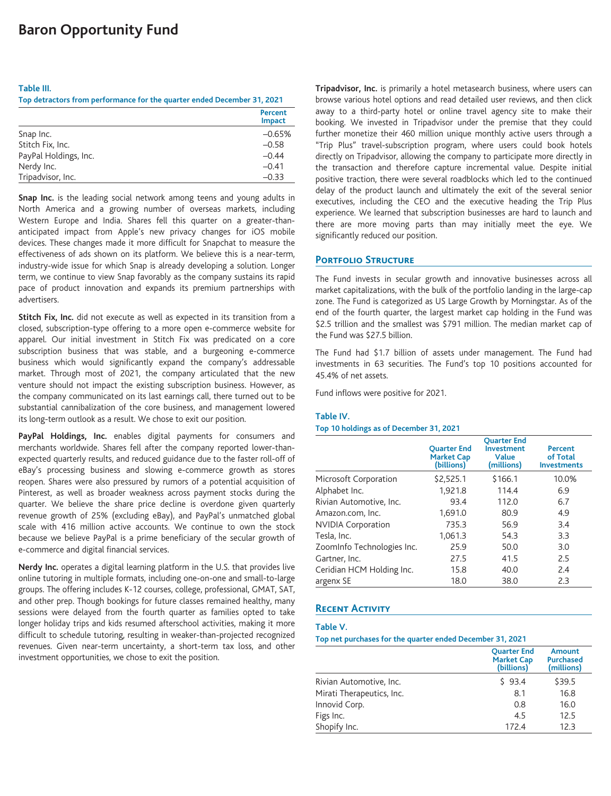#### **Table III.**

**Top detractors from performance for the quarter ended December 31, 2021**

|                       | Percent<br><b>Impact</b> |
|-----------------------|--------------------------|
| Snap Inc.             | $-0.65%$                 |
| Stitch Fix, Inc.      | $-0.58$                  |
| PayPal Holdings, Inc. | $-0.44$                  |
| Nerdy Inc.            | $-0.41$                  |
| Tripadvisor, Inc.     | $-0.33$                  |

**Snap Inc.** is the leading social network among teens and young adults in North America and a growing number of overseas markets, including Western Europe and India. Shares fell this quarter on a greater-thananticipated impact from Apple's new privacy changes for iOS mobile devices. These changes made it more difficult for Snapchat to measure the effectiveness of ads shown on its platform. We believe this is a near-term, industry-wide issue for which Snap is already developing a solution. Longer term, we continue to view Snap favorably as the company sustains its rapid pace of product innovation and expands its premium partnerships with advertisers.

**Stitch Fix, Inc.** did not execute as well as expected in its transition from a closed, subscription-type offering to a more open e-commerce website for apparel. Our initial investment in Stitch Fix was predicated on a core subscription business that was stable, and a burgeoning e-commerce business which would significantly expand the company's addressable market. Through most of 2021, the company articulated that the new venture should not impact the existing subscription business. However, as the company communicated on its last earnings call, there turned out to be substantial cannibalization of the core business, and management lowered its long-term outlook as a result. We chose to exit our position.

**PayPal Holdings, Inc.** enables digital payments for consumers and merchants worldwide. Shares fell after the company reported lower-thanexpected quarterly results, and reduced guidance due to the faster roll-off of eBay's processing business and slowing e-commerce growth as stores reopen. Shares were also pressured by rumors of a potential acquisition of Pinterest, as well as broader weakness across payment stocks during the quarter. We believe the share price decline is overdone given quarterly revenue growth of 25% (excluding eBay), and PayPal's unmatched global scale with 416 million active accounts. We continue to own the stock because we believe PayPal is a prime beneficiary of the secular growth of e-commerce and digital financial services.

**Nerdy Inc.** operates a digital learning platform in the U.S. that provides live online tutoring in multiple formats, including one-on-one and small-to-large groups. The offering includes K-12 courses, college, professional, GMAT, SAT, and other prep. Though bookings for future classes remained healthy, many sessions were delayed from the fourth quarter as families opted to take longer holiday trips and kids resumed afterschool activities, making it more difficult to schedule tutoring, resulting in weaker-than-projected recognized revenues. Given near-term uncertainty, a short-term tax loss, and other investment opportunities, we chose to exit the position.

**Tripadvisor, Inc.** is primarily a hotel metasearch business, where users can browse various hotel options and read detailed user reviews, and then click away to a third-party hotel or online travel agency site to make their booking. We invested in Tripadvisor under the premise that they could further monetize their 460 million unique monthly active users through a "Trip Plus" travel-subscription program, where users could book hotels directly on Tripadvisor, allowing the company to participate more directly in the transaction and therefore capture incremental value. Despite initial positive traction, there were several roadblocks which led to the continued delay of the product launch and ultimately the exit of the several senior executives, including the CEO and the executive heading the Trip Plus experience. We learned that subscription businesses are hard to launch and there are more moving parts than may initially meet the eye. We significantly reduced our position.

### **PORTFOLIO STRUCTURE**

The Fund invests in secular growth and innovative businesses across all market capitalizations, with the bulk of the portfolio landing in the large-cap zone. The Fund is categorized as US Large Growth by Morningstar. As of the end of the fourth quarter, the largest market cap holding in the Fund was \$2.5 trillion and the smallest was \$791 million. The median market cap of the Fund was \$27.5 billion.

The Fund had \$1.7 billion of assets under management. The Fund had investments in 63 securities. The Fund's top 10 positions accounted for 45.4% of net assets.

Fund inflows were positive for 2021.

### **Table IV.**

#### **Top 10 holdings as of December 31, 2021**

|                            | <b>Ouarter End</b><br><b>Market Cap</b><br>(billions) | <b>Ouarter End</b><br>Investment<br>Value<br>(millions) | Percent<br>of Total<br><b>Investments</b> |
|----------------------------|-------------------------------------------------------|---------------------------------------------------------|-------------------------------------------|
| Microsoft Corporation      | \$2,525.1                                             | \$166.1                                                 | 10.0%                                     |
| Alphabet Inc.              | 1,921.8                                               | 114.4                                                   | 6.9                                       |
| Rivian Automotive, Inc.    | 93.4                                                  | 112.0                                                   | 6.7                                       |
| Amazon.com, Inc.           | 1,691.0                                               | 80.9                                                    | 4.9                                       |
| <b>NVIDIA Corporation</b>  | 735.3                                                 | 56.9                                                    | 3.4                                       |
| Tesla, Inc.                | 1,061.3                                               | 54.3                                                    | 3.3                                       |
| Zoominfo Technologies Inc. | 25.9                                                  | 50.0                                                    | 3.0                                       |
| Gartner, Inc.              | 27.5                                                  | 41.5                                                    | 2.5                                       |
| Ceridian HCM Holding Inc.  | 15.8                                                  | 40.0                                                    | 2.4                                       |
| argenx SE                  | 18.0                                                  | 38.0                                                    | 2.3                                       |

# **Recent Activity**

### **Table V.**

**Top net purchases for the quarter ended December 31, 2021**

|                           | <b>Ouarter End</b><br><b>Market Cap</b><br>(billions) | <b>Amount</b><br><b>Purchased</b><br>(millions) |
|---------------------------|-------------------------------------------------------|-------------------------------------------------|
| Rivian Automotive, Inc.   | \$93.4                                                | \$39.5                                          |
| Mirati Therapeutics, Inc. | 8.1                                                   | 16.8                                            |
| Innovid Corp.             | 0.8                                                   | 16.0                                            |
| Figs Inc.                 | 4.5                                                   | 12.5                                            |
| Shopify Inc.              | 172.4                                                 | 12.3                                            |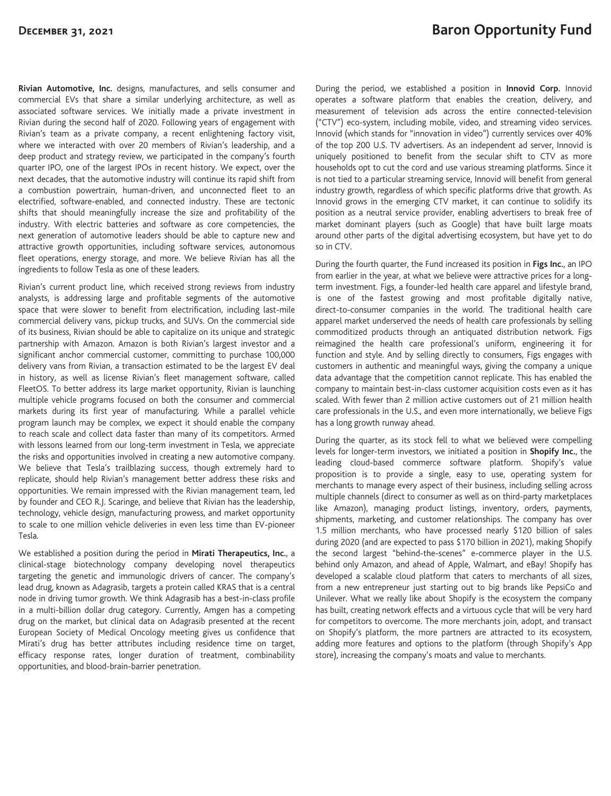**Rivian Automotive, Inc.** designs, manufactures, and sells consumer and commercial EVs that share a similar underlying architecture, as well as associated software services. We initially made a private investment in Rivian during the second half of 2020. Following years of engagement with Rivian's team as a private company, a recent enlightening factory visit, where we interacted with over 20 members of Rivian's leadership, and a deep product and strategy review, we participated in the company's fourth quarter IPO, one of the largest IPOs in recent history. We expect, over the next decades, that the automotive industry will continue its rapid shift from a combustion powertrain, human-driven, and unconnected fleet to an electrified, software-enabled, and connected industry. These are tectonic shifts that should meaningfully increase the size and profitability of the industry. With electric batteries and software as core competencies, the next generation of automotive leaders should be able to capture new and attractive growth opportunities, including software services, autonomous fleet operations, energy storage, and more. We believe Rivian has all the ingredients to follow Tesla as one of these leaders.

Rivian's current product line, which received strong reviews from industry analysts, is addressing large and profitable segments of the automotive space that were slower to benefit from electrification, including last-mile commercial delivery vans, pickup trucks, and SUVs. On the commercial side of its business, Rivian should be able to capitalize on its unique and strategic partnership with Amazon. Amazon is both Rivian's largest investor and a significant anchor commercial customer, committing to purchase 100,000 delivery vans from Rivian, a transaction estimated to be the largest EV deal in history, as well as license Rivian's fleet management software, called FleetOS. To better address its large market opportunity, Rivian is launching multiple vehicle programs focused on both the consumer and commercial markets during its first year of manufacturing. While a parallel vehicle program launch may be complex, we expect it should enable the company to reach scale and collect data faster than many of its competitors. Armed with lessons learned from our long-term investment in Tesla, we appreciate the risks and opportunities involved in creating a new automotive company. We believe that Tesla's trailblazing success, though extremely hard to replicate, should help Rivian's management better address these risks and opportunities. We remain impressed with the Rivian management team, led by founder and CEO R.J. Scaringe, and believe that Rivian has the leadership, technology, vehicle design, manufacturing prowess, and market opportunity to scale to one million vehicle deliveries in even less time than EV-pioneer Tesla.

We established a position during the period in **Mirati Therapeutics, Inc.**, a clinical-stage biotechnology company developing novel therapeutics targeting the genetic and immunologic drivers of cancer. The company's lead drug, known as Adagrasib, targets a protein called KRAS that is a central node in driving tumor growth. We think Adagrasib has a best-in-class profile in a multi-billion dollar drug category. Currently, Amgen has a competing drug on the market, but clinical data on Adagrasib presented at the recent European Society of Medical Oncology meeting gives us confidence that Mirati's drug has better attributes including residence time on target, efficacy response rates, longer duration of treatment, combinability opportunities, and blood-brain-barrier penetration.

During the period, we established a position in **Innovid Corp.** Innovid operates a software platform that enables the creation, delivery, and measurement of television ads across the entire connected-television ("CTV") eco-system, including mobile, video, and streaming video services. Innovid (which stands for "innovation in video") currently services over 40% of the top 200 U.S. TV advertisers. As an independent ad server, Innovid is uniquely positioned to benefit from the secular shift to CTV as more households opt to cut the cord and use various streaming platforms. Since it is not tied to a particular streaming service, Innovid will benefit from general industry growth, regardless of which specific platforms drive that growth. As Innovid grows in the emerging CTV market, it can continue to solidify its position as a neutral service provider, enabling advertisers to break free of market dominant players (such as Google) that have built large moats around other parts of the digital advertising ecosystem, but have yet to do so in CTV.

During the fourth quarter, the Fund increased its position in **Figs Inc.**, an IPO from earlier in the year, at what we believe were attractive prices for a longterm investment. Figs, a founder-led health care apparel and lifestyle brand, is one of the fastest growing and most profitable digitally native, direct-to-consumer companies in the world. The traditional health care apparel market underserved the needs of health care professionals by selling commoditized products through an antiquated distribution network. Figs reimagined the health care professional's uniform, engineering it for function and style. And by selling directly to consumers, Figs engages with customers in authentic and meaningful ways, giving the company a unique data advantage that the competition cannot replicate. This has enabled the company to maintain best-in-class customer acquisition costs even as it has scaled. With fewer than 2 million active customers out of 21 million health care professionals in the U.S., and even more internationally, we believe Figs has a long growth runway ahead.

During the quarter, as its stock fell to what we believed were compelling levels for longer-term investors, we initiated a position in **Shopify Inc.**, the leading cloud-based commerce software platform. Shopify's value proposition is to provide a single, easy to use, operating system for merchants to manage every aspect of their business, including selling across multiple channels (direct to consumer as well as on third-party marketplaces like Amazon), managing product listings, inventory, orders, payments, shipments, marketing, and customer relationships. The company has over 1.5 million merchants, who have processed nearly \$120 billion of sales during 2020 (and are expected to pass \$170 billion in 2021), making Shopify the second largest "behind-the-scenes" e-commerce player in the U.S. behind only Amazon, and ahead of Apple, Walmart, and eBay! Shopify has developed a scalable cloud platform that caters to merchants of all sizes, from a new entrepreneur just starting out to big brands like PepsiCo and Unilever. What we really like about Shopify is the ecosystem the company has built, creating network effects and a virtuous cycle that will be very hard for competitors to overcome. The more merchants join, adopt, and transact on Shopify's platform, the more partners are attracted to its ecosystem, adding more features and options to the platform (through Shopify's App store), increasing the company's moats and value to merchants.